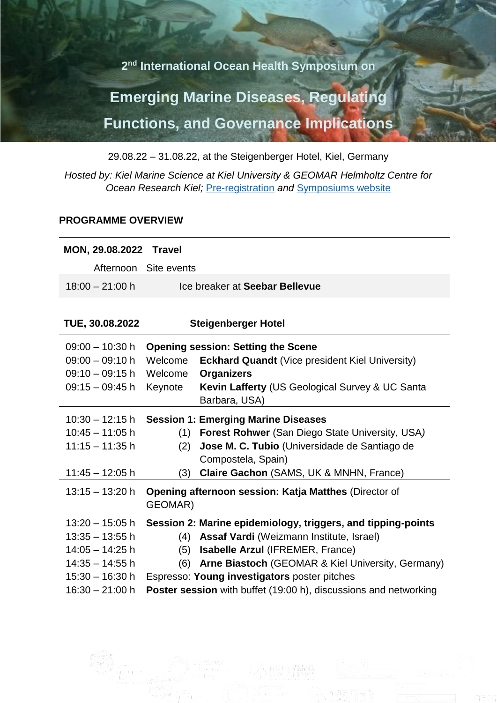**2 nd International Ocean Health Symposium on**

## **Emerging Marine Diseases, Regulating Functions, and Governance Implications**

29.08.22 – 31.08.22, at the Steigenberger Hotel, Kiel, Germany

*Hosted by: Kiel Marine Science at Kiel University & GEOMAR Helmholtz Centre for Ocean Research Kiel;* [Pre-registration](https://docs.google.com/forms/d/e/1FAIpQLSe35QG4EZdpHkoJwUCyjXFy6lA4at1eng1ndrty69Lv4WJPFQ/viewform) *and* [Symposiums website](https://events.geomar.de/event/2/)

## **PROGRAMME OVERVIEW**

| <b>MON, 29.08.2022 Travel</b> |                            |                                                                         |
|-------------------------------|----------------------------|-------------------------------------------------------------------------|
|                               | Afternoon Site events      |                                                                         |
| $18:00 - 21:00$ h             |                            | Ice breaker at Seebar Bellevue                                          |
|                               |                            |                                                                         |
| TUE, 30.08.2022               | <b>Steigenberger Hotel</b> |                                                                         |
| $09:00 - 10:30$ h             |                            | <b>Opening session: Setting the Scene</b>                               |
| $09:00 - 09:10 h$             | Welcome                    | <b>Eckhard Quandt</b> (Vice president Kiel University)                  |
| $09:10 - 09:15 h$             | Welcome                    | <b>Organizers</b>                                                       |
| $09:15 - 09:45 h$             | Keynote                    | Kevin Lafferty (US Geological Survey & UC Santa                         |
|                               |                            | Barbara, USA)                                                           |
| $10:30 - 12:15 h$             |                            | <b>Session 1: Emerging Marine Diseases</b>                              |
| $10:45 - 11:05 h$             |                            | (1) Forest Rohwer (San Diego State University, USA)                     |
| $11:15 - 11:35$ h             | (2)                        | Jose M. C. Tubio (Universidade de Santiago de                           |
|                               |                            | Compostela, Spain)                                                      |
| $11:45 - 12:05$ h             | (3)                        | Claire Gachon (SAMS, UK & MNHN, France)                                 |
| $13:15 - 13:20$ h             | GEOMAR)                    | <b>Opening afternoon session: Katja Matthes (Director of</b>            |
| $13:20 - 15:05$ h             |                            | Session 2: Marine epidemiology, triggers, and tipping-points            |
| $13:35 - 13:55$ h             |                            | (4) Assaf Vardi (Weizmann Institute, Israel)                            |
| $14:05 - 14:25$ h             |                            | (5) Isabelle Arzul (IFREMER, France)                                    |
| $14:35 - 14:55$ h             | (6)                        | Arne Biastoch (GEOMAR & Kiel University, Germany)                       |
| $15:30 - 16:30 h$             |                            | Espresso: Young investigators poster pitches                            |
| $16:30 - 21:00 h$             |                            | <b>Poster session</b> with buffet (19:00 h), discussions and networking |
|                               |                            |                                                                         |